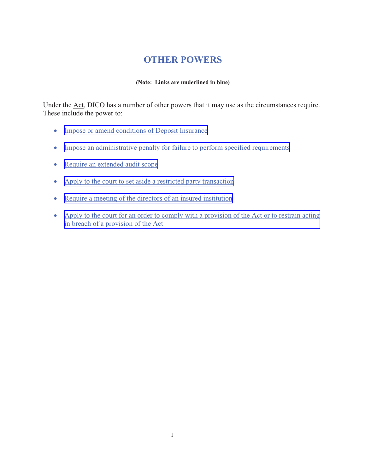# **OTHER POWERS**

#### **(Note: Links are underlined in blue)**

Under the Act, DICO has a number of other powers that it may use as the circumstances require. These include the power to:

- $\bullet$ [Impose or amend conditions of Deposit Insurance](#page-1-0)
- Impose an administrative penalty for failure to perform specified requirements
- [Require an extended audit scope](#page-2-0)
- [Apply to the court to set aside a restricted party transaction](#page-4-0)
- [Require a meeting of the directors of an insured institution](#page-4-0)
- [Apply to the court for an order to comply with a provision of the Act or to restrain acting](#page-6-0) in breach of a provision of the Act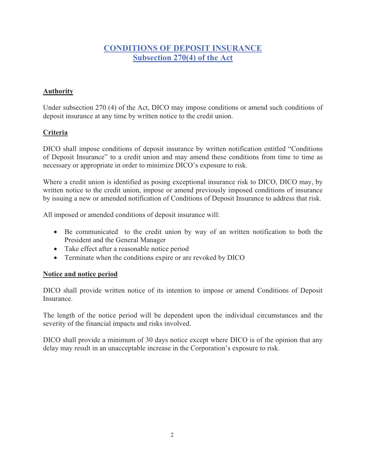# **CONDITIONS OF DEPOSIT INSURANCE Subsection 270(4) of the Act**

#### <span id="page-1-0"></span>**Authority**

Under subsection 270 (4) of the Act, DICO may impose conditions or amend such conditions of deposit insurance at any time by written notice to the credit union.

#### **Criteria**

DICO shall impose conditions of deposit insurance by written notification entitled "Conditions of Deposit Insurance" to a credit union and may amend these conditions from time to time as necessary or appropriate in order to minimize DICO's exposure to risk.

Where a credit union is identified as posing exceptional insurance risk to DICO, DICO may, by written notice to the credit union, impose or amend previously imposed conditions of insurance by issuing a new or amended notification of Conditions of Deposit Insurance to address that risk.

All imposed or amended conditions of deposit insurance will:

- Be communicated to the credit union by way of an written notification to both the President and the General Manager
- Take effect after a reasonable notice period
- Terminate when the conditions expire or are revoked by DICO

#### **Notice and notice period**

DICO shall provide written notice of its intention to impose or amend Conditions of Deposit Insurance.

The length of the notice period will be dependent upon the individual circumstances and the severity of the financial impacts and risks involved.

DICO shall provide a minimum of 30 days notice except where DICO is of the opinion that any delay may result in an unacceptable increase in the Corporation's exposure to risk.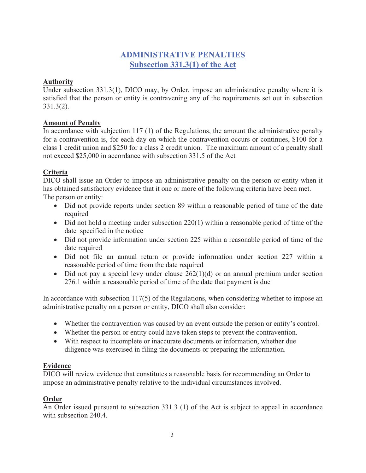# **ADMINISTRATIVE PENALTIES Subsection 331.3(1) of the Act**

#### <span id="page-2-0"></span>**Authority**

Under subsection 331.3(1), DICO may, by Order, impose an administrative penalty where it is satisfied that the person or entity is contravening any of the requirements set out in subsection 331.3(2).

#### **Amount of Penalty**

In accordance with subjection 117 (1) of the Regulations, the amount the administrative penalty for a contravention is, for each day on which the contravention occurs or continues, \$100 for a class 1 credit union and \$250 for a class 2 credit union. The maximum amount of a penalty shall not exceed \$25,000 in accordance with subsection 331.5 of the Act

## **Criteria**

DICO shall issue an Order to impose an administrative penalty on the person or entity when it has obtained satisfactory evidence that it one or more of the following criteria have been met. The person or entity:

- Did not provide reports under section 89 within a reasonable period of time of the date required
- Did not hold a meeting under subsection 220(1) within a reasonable period of time of the date specified in the notice
- Did not provide information under section 225 within a reasonable period of time of the date required
- Did not file an annual return or provide information under section 227 within a reasonable period of time from the date required
- $\bullet$  Did not pay a special levy under clause 262(1)(d) or an annual premium under section 276.1 within a reasonable period of time of the date that payment is due

In accordance with subsection 117(5) of the Regulations, when considering whether to impose an administrative penalty on a person or entity, DICO shall also consider:

- Whether the contravention was caused by an event outside the person or entity's control.
- Whether the person or entity could have taken steps to prevent the contravention.
- With respect to incomplete or inaccurate documents or information, whether due diligence was exercised in filing the documents or preparing the information.

## **Evidence**

DICO will review evidence that constitutes a reasonable basis for recommending an Order to impose an administrative penalty relative to the individual circumstances involved.

## **Order**

An Order issued pursuant to subsection 331.3 (1) of the Act is subject to appeal in accordance with subsection 240.4.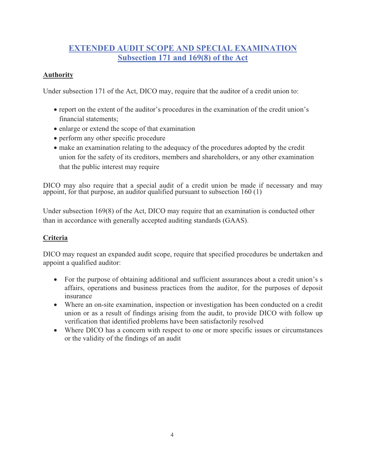# **EXTENDED AUDIT SCOPE AND SPECIAL EXAMINATION Subsection 171 and 169(8) of the Act**

#### **Authority**

Under subsection 171 of the Act, DICO may, require that the auditor of a credit union to:

- report on the extent of the auditor's procedures in the examination of the credit union's financial statements;
- enlarge or extend the scope of that examination
- perform any other specific procedure
- make an examination relating to the adequacy of the procedures adopted by the credit union for the safety of its creditors, members and shareholders, or any other examination that the public interest may require

DICO may also require that a special audit of a credit union be made if necessary and may appoint, for that purpose, an auditor qualified pursuant to subsection 160 (1)

Under subsection 169(8) of the Act, DICO may require that an examination is conducted other than in accordance with generally accepted auditing standards (GAAS).

#### **Criteria**

DICO may request an expanded audit scope, require that specified procedures be undertaken and appoint a qualified auditor:

- For the purpose of obtaining additional and sufficient assurances about a credit union's s affairs, operations and business practices from the auditor, for the purposes of deposit insurance
- Where an on-site examination, inspection or investigation has been conducted on a credit union or as a result of findings arising from the audit, to provide DICO with follow up verification that identified problems have been satisfactorily resolved
- Where DICO has a concern with respect to one or more specific issues or circumstances or the validity of the findings of an audit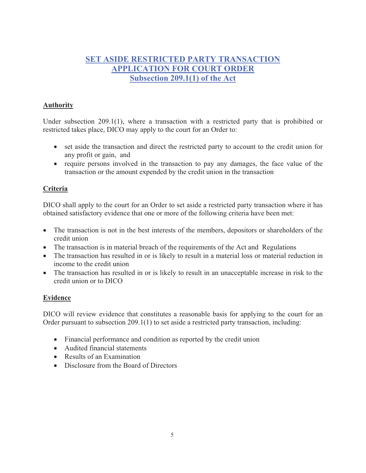# <span id="page-4-0"></span>**SET ASIDE RESTRICTED PARTY TRANSACTION APPLICATION FOR COURT ORDER Subsection 209.1(1) of the Act**

#### **Authority**

Under subsection 209.1(1), where a transaction with a restricted party that is prohibited or restricted takes place, DICO may apply to the court for an Order to:

- set aside the transaction and direct the restricted party to account to the credit union for any profit or gain, and
- require persons involved in the transaction to pay any damages, the face value of the transaction or the amount expended by the credit union in the transaction

#### **Criteria**

DICO shall apply to the court for an Order to set aside a restricted party transaction where it has obtained satisfactory evidence that one or more of the following criteria have been met:

- The transaction is not in the best interests of the members, depositors or shareholders of the credit union
- The transaction is in material breach of the requirements of the Act and Regulations
- The transaction has resulted in or is likely to result in a material loss or material reduction in income to the credit union
- The transaction has resulted in or is likely to result in an unacceptable increase in risk to the credit union or to DICO

#### **Evidence**

DICO will review evidence that constitutes a reasonable basis for applying to the court for an Order pursuant to subsection 209.1(1) to set aside a restricted party transaction, including:

- Financial performance and condition as reported by the credit union
- Audited financial statements
- Results of an Examination
- Disclosure from the Board of Directors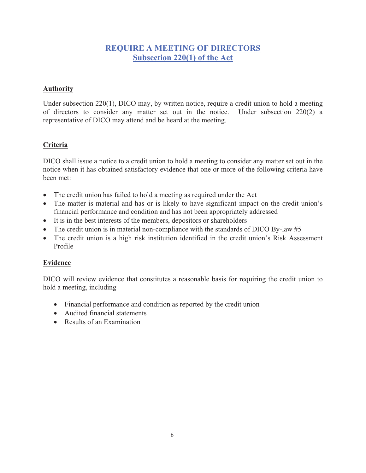# **REQUIRE A MEETING OF DIRECTORS Subsection 220(1) of the Act**

#### **Authority**

Under subsection 220(1), DICO may, by written notice, require a credit union to hold a meeting of directors to consider any matter set out in the notice. Under subsection 220(2) a representative of DICO may attend and be heard at the meeting.

#### **Criteria**

DICO shall issue a notice to a credit union to hold a meeting to consider any matter set out in the notice when it has obtained satisfactory evidence that one or more of the following criteria have been met:

- The credit union has failed to hold a meeting as required under the Act
- The matter is material and has or is likely to have significant impact on the credit union's financial performance and condition and has not been appropriately addressed
- It is in the best interests of the members, depositors or shareholders
- The credit union is in material non-compliance with the standards of DICO By-law #5
- The credit union is a high risk institution identified in the credit union's Risk Assessment Profile

#### **Evidence**

DICO will review evidence that constitutes a reasonable basis for requiring the credit union to hold a meeting, including

- Financial performance and condition as reported by the credit union
- Audited financial statements
- Results of an Examination